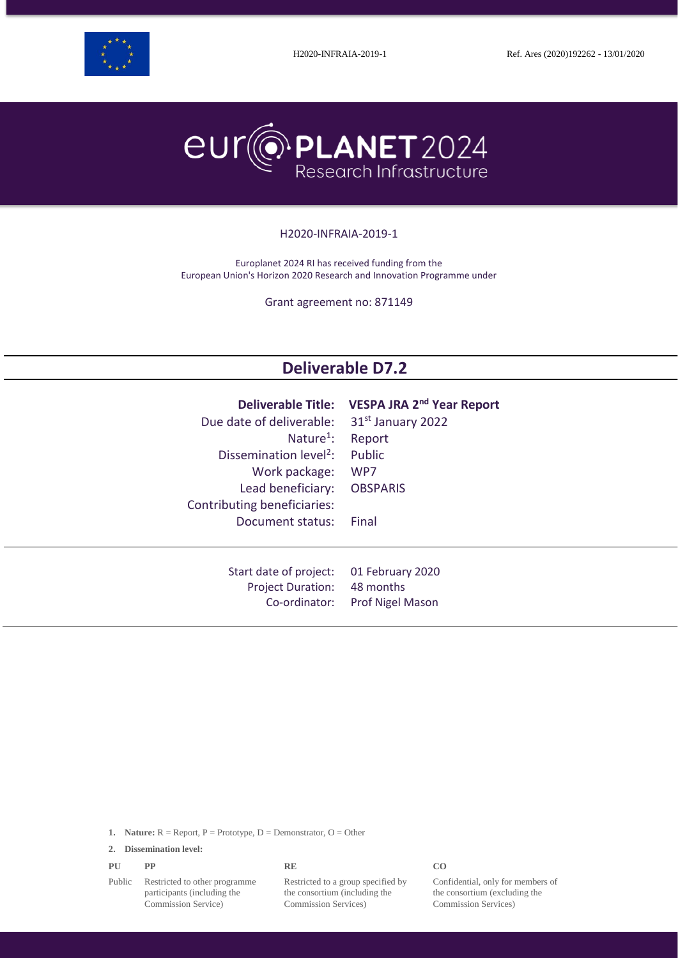



#### H2020-INFRAIA-2019-1

Europlanet 2024 RI has received funding from the European Union's Horizon 2020 Research and Innovation Programme under

Grant agreement no: 871149

# **Deliverable D7.2**

| Due date of deliverable:           | Deliverable Title: VESPA JRA 2 <sup>nd</sup> Year Report |
|------------------------------------|----------------------------------------------------------|
| Nature <sup>1</sup> :              | 31 <sup>st</sup> January 2022                            |
| Dissemination level <sup>2</sup> : | Report                                                   |
| Work package:                      | Public                                                   |
| Lead beneficiary:                  | WP7                                                      |
| Contributing beneficiaries:        | <b>OBSPARIS</b>                                          |
| Document status:                   | Final                                                    |
| Start date of project:             | 01 February 2020                                         |
| <b>Project Duration:</b>           | 48 months                                                |
| Co-ordinator:                      | <b>Prof Nigel Mason</b>                                  |

**1. Nature:**  $R =$  Report,  $P =$  Prototype,  $D =$  Demonstrator,  $O =$  Other

**2. Dissemination level:**

| PU | PP | <b>RE</b> | CO |
|----|----|-----------|----|
|    |    |           |    |

Public Restricted to other programme participants (including the Commission Service)

Restricted to a group specified by the consortium (including the Commission Services)

Confidential, only for members of the consortium (excluding the Commission Services)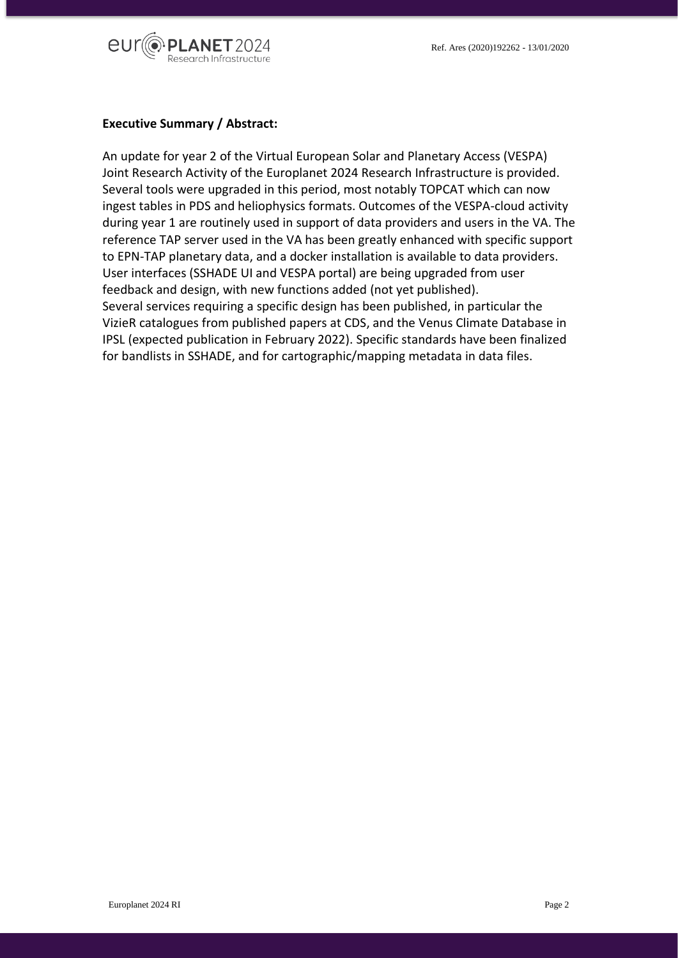

#### **Executive Summary / Abstract:**

An update for year 2 of the Virtual European Solar and Planetary Access (VESPA) Joint Research Activity of the Europlanet 2024 Research Infrastructure is provided. Several tools were upgraded in this period, most notably TOPCAT which can now ingest tables in PDS and heliophysics formats. Outcomes of the VESPA-cloud activity during year 1 are routinely used in support of data providers and users in the VA. The reference TAP server used in the VA has been greatly enhanced with specific support to EPN-TAP planetary data, and a docker installation is available to data providers. User interfaces (SSHADE UI and VESPA portal) are being upgraded from user feedback and design, with new functions added (not yet published). Several services requiring a specific design has been published, in particular the VizieR catalogues from published papers at CDS, and the Venus Climate Database in IPSL (expected publication in February 2022). Specific standards have been finalized for bandlists in SSHADE, and for cartographic/mapping metadata in data files.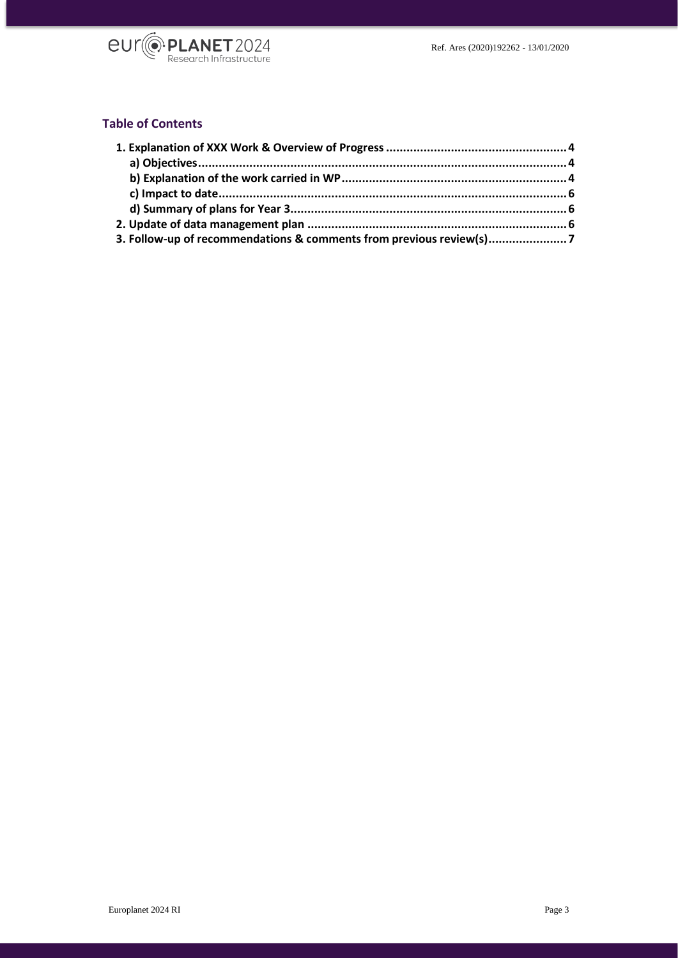

# **Table of Contents**

| 3. Follow-up of recommendations & comments from previous review(s) |  |
|--------------------------------------------------------------------|--|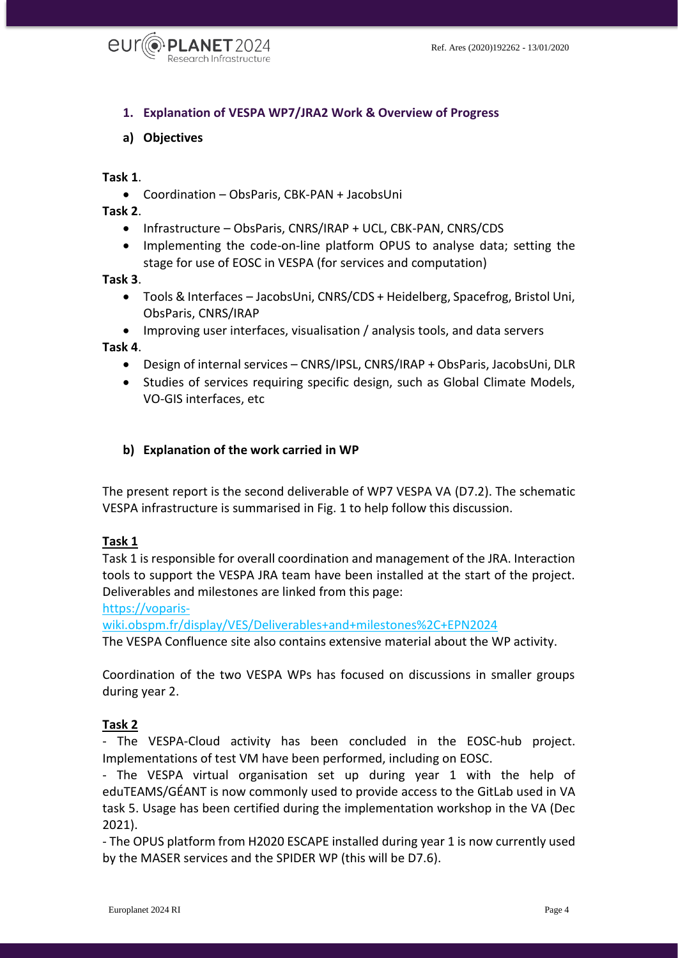

- <span id="page-3-0"></span>**1. Explanation of VESPA WP7/JRA2 Work & Overview of Progress**
- <span id="page-3-1"></span>**a) Objectives**

#### **Task 1**.

Coordination – ObsParis, CBK-PAN + JacobsUni

#### **Task 2**.

- Infrastructure ObsParis, CNRS/IRAP + UCL, CBK-PAN, CNRS/CDS
- Implementing the code-on-line platform OPUS to analyse data; setting the stage for use of EOSC in VESPA (for services and computation)

#### **Task 3**.

- Tools & Interfaces JacobsUni, CNRS/CDS + Heidelberg, Spacefrog, Bristol Uni, ObsParis, CNRS/IRAP
- Improving user interfaces, visualisation / analysis tools, and data servers

#### **Task 4**.

- Design of internal services CNRS/IPSL, CNRS/IRAP + ObsParis, JacobsUni, DLR
- Studies of services requiring specific design, such as Global Climate Models, VO-GIS interfaces, etc

#### <span id="page-3-2"></span>**b) Explanation of the work carried in WP**

The present report is the second deliverable of WP7 VESPA VA (D7.2). The schematic VESPA infrastructure is summarised in Fig. 1 to help follow this discussion.

#### **Task 1**

Task 1 is responsible for overall coordination and management of the JRA. Interaction tools to support the VESPA JRA team have been installed at the start of the project. Deliverables and milestones are linked from this page:

[https://voparis-](https://voparis-wiki.obspm.fr/display/VES/Deliverables+and+milestones%2C+EPN2024)

[wiki.obspm.fr/display/VES/Deliverables+and+milestones%2C+EPN2024](https://voparis-wiki.obspm.fr/display/VES/Deliverables+and+milestones%2C+EPN2024)

The VESPA Confluence site also contains extensive material about the WP activity.

Coordination of the two VESPA WPs has focused on discussions in smaller groups during year 2.

#### **Task 2**

- The VESPA-Cloud activity has been concluded in the EOSC-hub project. Implementations of test VM have been performed, including on EOSC.

- The VESPA virtual organisation set up during year 1 with the help of eduTEAMS/GÉANT is now commonly used to provide access to the GitLab used in VA task 5. Usage has been certified during the implementation workshop in the VA (Dec 2021).

- The OPUS platform from H2020 ESCAPE installed during year 1 is now currently used by the MASER services and the SPIDER WP (this will be D7.6).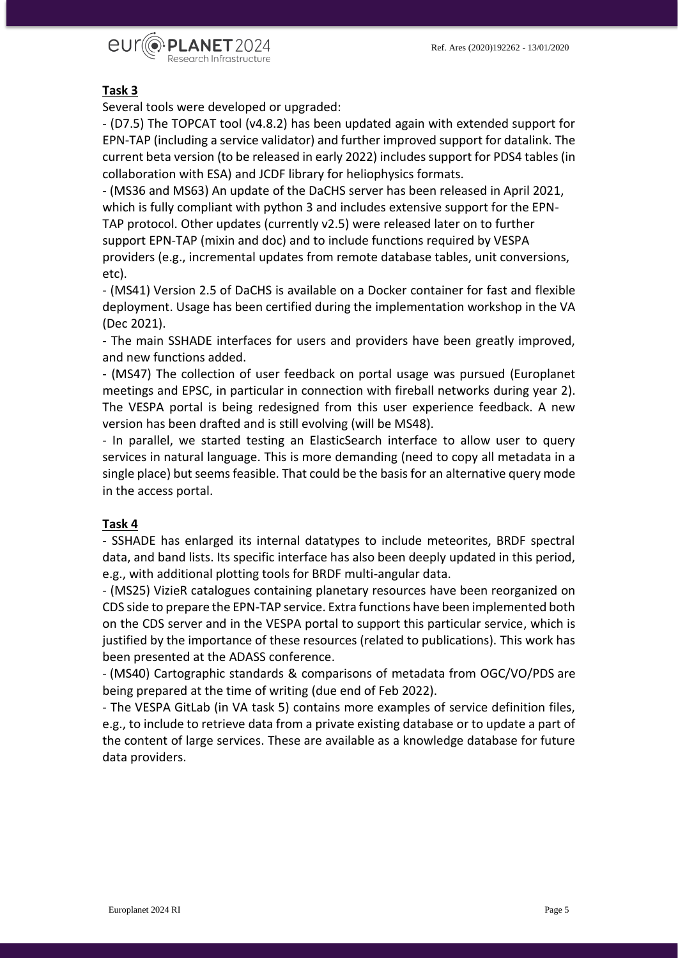

### **Task 3**

Several tools were developed or upgraded:

- (D7.5) The TOPCAT tool (v4.8.2) has been updated again with extended support for EPN-TAP (including a service validator) and further improved support for datalink. The current beta version (to be released in early 2022) includes support for PDS4 tables (in collaboration with ESA) and JCDF library for heliophysics formats.

- (MS36 and MS63) An update of the DaCHS server has been released in April 2021, which is fully compliant with python 3 and includes extensive support for the EPN-TAP protocol. Other updates (currently v2.5) were released later on to further support EPN-TAP (mixin and doc) and to include functions required by VESPA providers (e.g., incremental updates from remote database tables, unit conversions,

etc).

- (MS41) Version 2.5 of DaCHS is available on a Docker container for fast and flexible deployment. Usage has been certified during the implementation workshop in the VA (Dec 2021).

- The main SSHADE interfaces for users and providers have been greatly improved, and new functions added.

- (MS47) The collection of user feedback on portal usage was pursued (Europlanet meetings and EPSC, in particular in connection with fireball networks during year 2). The VESPA portal is being redesigned from this user experience feedback. A new version has been drafted and is still evolving (will be MS48).

- In parallel, we started testing an ElasticSearch interface to allow user to query services in natural language. This is more demanding (need to copy all metadata in a single place) but seems feasible. That could be the basis for an alternative query mode in the access portal.

#### **Task 4**

- SSHADE has enlarged its internal datatypes to include meteorites, BRDF spectral data, and band lists. Its specific interface has also been deeply updated in this period, e.g., with additional plotting tools for BRDF multi-angular data.

- (MS25) VizieR catalogues containing planetary resources have been reorganized on CDS side to prepare the EPN-TAP service. Extra functions have been implemented both on the CDS server and in the VESPA portal to support this particular service, which is justified by the importance of these resources (related to publications). This work has been presented at the ADASS conference.

- (MS40) Cartographic standards & comparisons of metadata from OGC/VO/PDS are being prepared at the time of writing (due end of Feb 2022).

- The VESPA GitLab (in VA task 5) contains more examples of service definition files, e.g., to include to retrieve data from a private existing database or to update a part of the content of large services. These are available as a knowledge database for future data providers.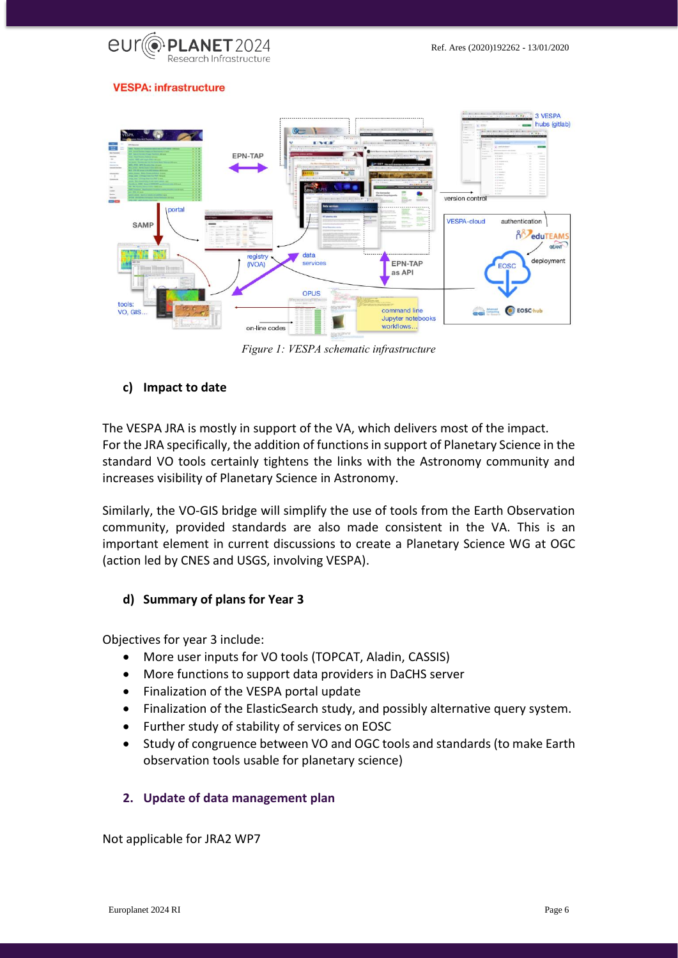

#### **VESPA: infrastructure**



*Figure 1: VESPA schematic infrastructure*

### <span id="page-5-0"></span>**c) Impact to date**

The VESPA JRA is mostly in support of the VA, which delivers most of the impact. For the JRA specifically, the addition of functions in support of Planetary Science in the standard VO tools certainly tightens the links with the Astronomy community and increases visibility of Planetary Science in Astronomy.

Similarly, the VO-GIS bridge will simplify the use of tools from the Earth Observation community, provided standards are also made consistent in the VA. This is an important element in current discussions to create a Planetary Science WG at OGC (action led by CNES and USGS, involving VESPA).

### <span id="page-5-1"></span>**d) Summary of plans for Year 3**

Objectives for year 3 include:

- More user inputs for VO tools (TOPCAT, Aladin, CASSIS)
- More functions to support data providers in DaCHS server
- Finalization of the VESPA portal update
- Finalization of the ElasticSearch study, and possibly alternative query system.
- Further study of stability of services on EOSC
- Study of congruence between VO and OGC tools and standards (to make Earth observation tools usable for planetary science)

# <span id="page-5-2"></span>**2. Update of data management plan**

Not applicable for JRA2 WP7